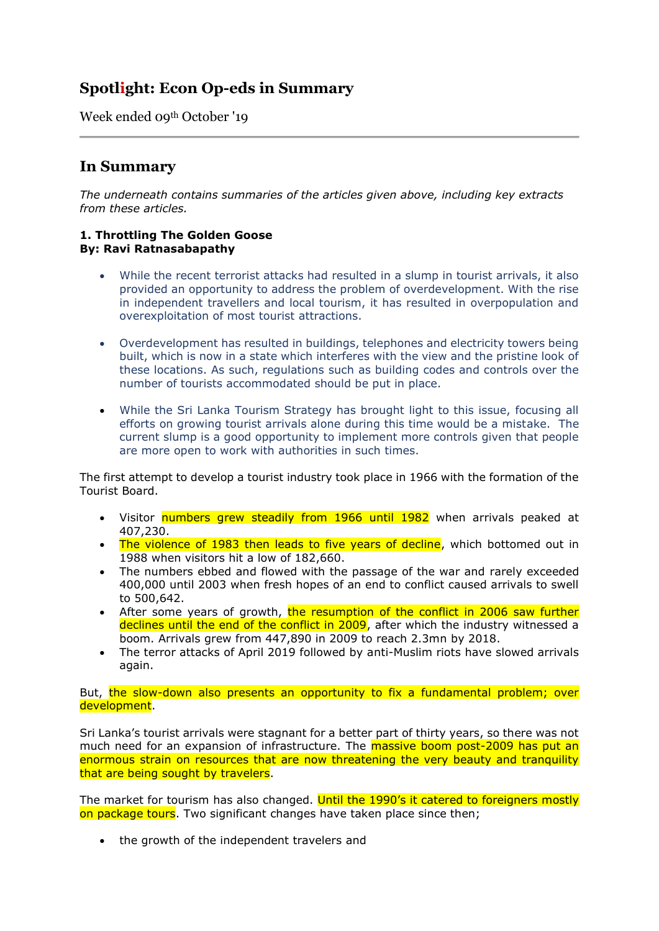# **Spotlight: Econ Op-eds in Summary**

Week ended 09th October '19

## **In Summary**

*The underneath contains summaries of the articles given above, including key extracts from these articles.*

#### **1. Throttling The Golden Goose By: Ravi Ratnasabapathy**

- While the recent terrorist attacks had resulted in a slump in tourist arrivals, it also provided an opportunity to address the problem of overdevelopment. With the rise in independent travellers and local tourism, it has resulted in overpopulation and overexploitation of most tourist attractions.
- Overdevelopment has resulted in buildings, telephones and electricity towers being built, which is now in a state which interferes with the view and the pristine look of these locations. As such, regulations such as building codes and controls over the number of tourists accommodated should be put in place.
- While the Sri Lanka Tourism Strategy has brought light to this issue, focusing all efforts on growing tourist arrivals alone during this time would be a mistake. The current slump is a good opportunity to implement more controls given that people are more open to work with authorities in such times.

The first attempt to develop a tourist industry took place in 1966 with the formation of the Tourist Board.

- Visitor numbers grew steadily from 1966 until 1982 when arrivals peaked at 407,230.
- The violence of 1983 then leads to five years of decline, which bottomed out in 1988 when visitors hit a low of 182,660.
- The numbers ebbed and flowed with the passage of the war and rarely exceeded 400,000 until 2003 when fresh hopes of an end to conflict caused arrivals to swell to 500,642.
- After some years of growth, the resumption of the conflict in 2006 saw further declines until the end of the conflict in 2009, after which the industry witnessed a boom. Arrivals grew from 447,890 in 2009 to reach 2.3mn by 2018.
- The terror attacks of April 2019 followed by anti-Muslim riots have slowed arrivals again.

But, the slow-down also presents an opportunity to fix a fundamental problem; over development.

Sri Lanka's tourist arrivals were stagnant for a better part of thirty years, so there was not much need for an expansion of infrastructure. The **massive boom post-2009 has put an** enormous strain on resources that are now threatening the very beauty and tranquility that are being sought by travelers.

The market for tourism has also changed. Until the 1990's it catered to foreigners mostly on package tours. Two significant changes have taken place since then;

• the growth of the independent travelers and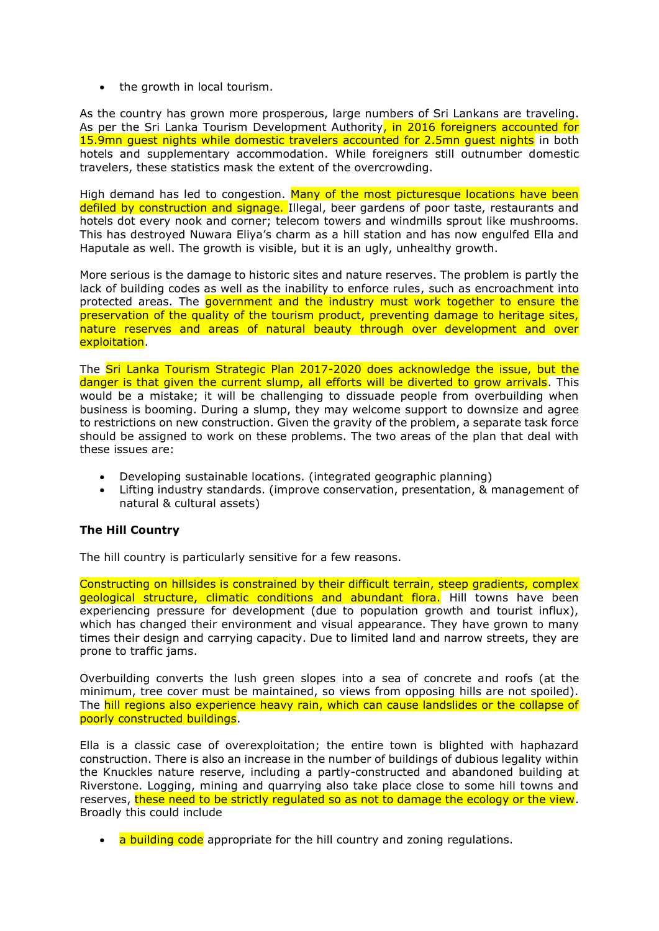• the growth in local tourism.

As the country has grown more prosperous, large numbers of Sri Lankans are traveling. As per the Sri Lanka Tourism Development Authority, in 2016 foreigners accounted for 15.9mn guest nights while domestic travelers accounted for 2.5mn guest nights in both hotels and supplementary accommodation. While foreigners still outnumber domestic travelers, these statistics mask the extent of the overcrowding.

High demand has led to congestion. Many of the most picturesque locations have been defiled by construction and signage. Illegal, beer gardens of poor taste, restaurants and hotels dot every nook and corner; telecom towers and windmills sprout like mushrooms. This has destroyed Nuwara Eliya's charm as a hill station and has now engulfed Ella and Haputale as well. The growth is visible, but it is an ugly, unhealthy growth.

More serious is the damage to historic sites and nature reserves. The problem is partly the lack of building codes as well as the inability to enforce rules, such as encroachment into protected areas. The **government and the industry must work together to ensure the** preservation of the quality of the tourism product, preventing damage to heritage sites, nature reserves and areas of natural beauty through over development and over exploitation.

The Sri Lanka Tourism Strategic Plan 2017-2020 does acknowledge the issue, but the danger is that given the current slump, all efforts will be diverted to grow arrivals. This would be a mistake; it will be challenging to dissuade people from overbuilding when business is booming. During a slump, they may welcome support to downsize and agree to restrictions on new construction. Given the gravity of the problem, a separate task force should be assigned to work on these problems. The two areas of the plan that deal with these issues are:

- Developing sustainable locations. (integrated geographic planning)
- Lifting industry standards. (improve conservation, presentation, & management of natural & cultural assets)

### **The Hill Country**

The hill country is particularly sensitive for a few reasons.

Constructing on hillsides is constrained by their difficult terrain, steep gradients, complex geological structure, climatic conditions and abundant flora. Hill towns have been experiencing pressure for development (due to population growth and tourist influx), which has changed their environment and visual appearance. They have grown to many times their design and carrying capacity. Due to limited land and narrow streets, they are prone to traffic jams.

Overbuilding converts the lush green slopes into a sea of concrete and roofs (at the minimum, tree cover must be maintained, so views from opposing hills are not spoiled). The hill regions also experience heavy rain, which can cause landslides or the collapse of poorly constructed buildings.

Ella is a classic case of overexploitation; the entire town is blighted with haphazard construction. There is also an increase in the number of buildings of dubious legality within the Knuckles nature reserve, including a partly-constructed and abandoned building at Riverstone. Logging, mining and quarrying also take place close to some hill towns and reserves, these need to be strictly regulated so as not to damage the ecology or the view. Broadly this could include

• a building code appropriate for the hill country and zoning regulations.